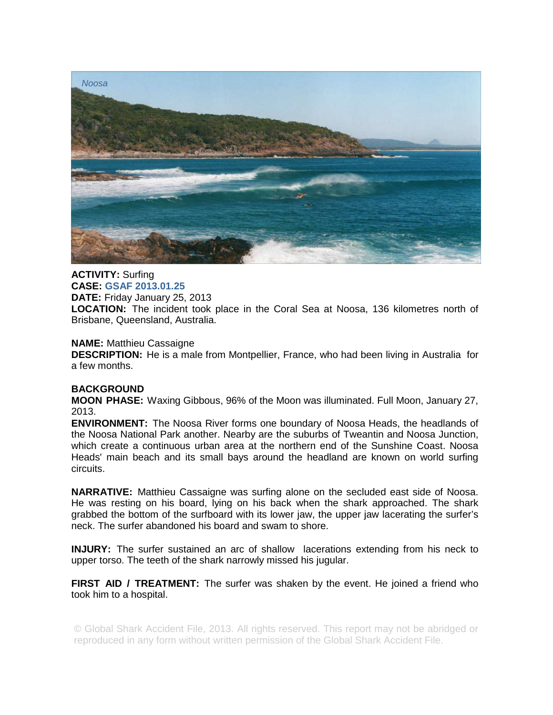

## **ACTIVITY:** Surfing **CASE: GSAF 2013.01.25 DATE:** Friday January 25, 2013

**LOCATION:** The incident took place in the Coral Sea at Noosa, 136 kilometres north of Brisbane, Queensland, Australia.

# **NAME:** Matthieu Cassaigne

**DESCRIPTION:** He is a male from Montpellier, France, who had been living in Australia for a few months.

# **BACKGROUND**

**MOON PHASE:** Waxing Gibbous, 96% of the Moon was illuminated. Full Moon, January 27, 2013.

**ENVIRONMENT:** The Noosa River forms one boundary of Noosa Heads, the headlands of the Noosa National Park another. Nearby are the suburbs of Tweantin and Noosa Junction, which create a continuous urban area at the northern end of the Sunshine Coast. Noosa Heads' main beach and its small bays around the headland are known on world surfing circuits.

**NARRATIVE:** Matthieu Cassaigne was surfing alone on the secluded east side of Noosa. He was resting on his board, lying on his back when the shark approached. The shark grabbed the bottom of the surfboard with its lower jaw, the upper jaw lacerating the surfer's neck. The surfer abandoned his board and swam to shore.

**INJURY:** The surfer sustained an arc of shallow lacerations extending from his neck to upper torso. The teeth of the shark narrowly missed his jugular.

**FIRST AID / TREATMENT:** The surfer was shaken by the event. He joined a friend who took him to a hospital.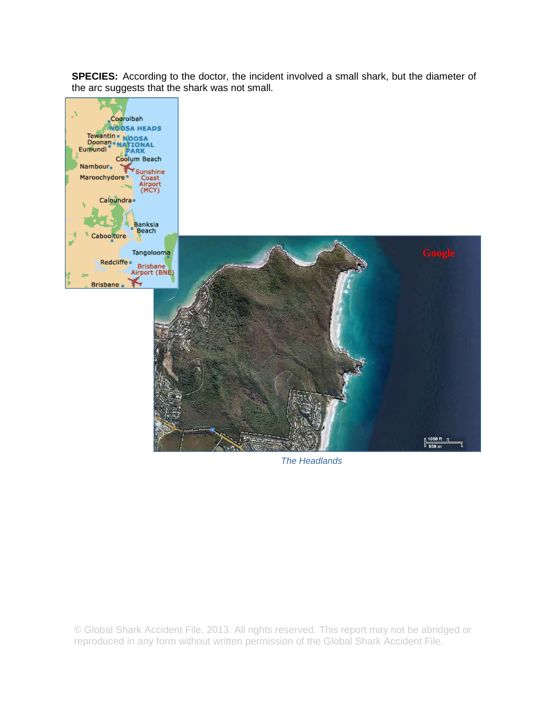**SPECIES:** According to the doctor, the incident involved a small shark, but the diameter of the arc suggests that the shark was not small.



*The Headlands*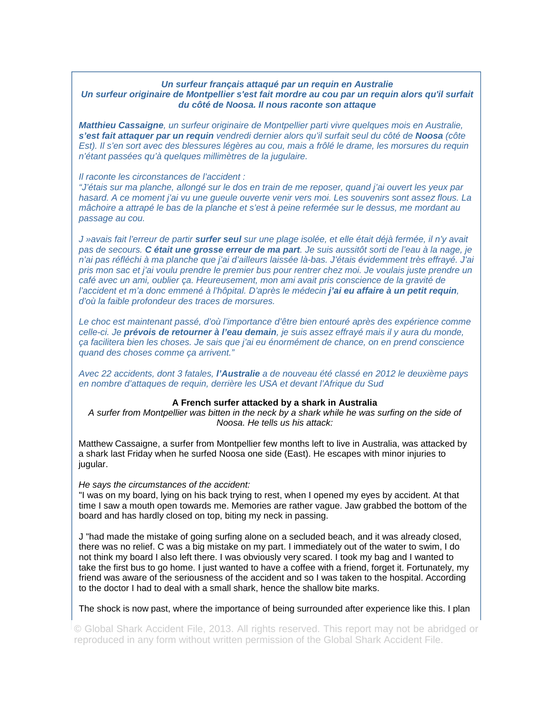## *Un surfeur français attaqué par un requin en Australie Un surfeur originaire de Montpellier s'est fait mordre au cou par un requin alors qu'il surfait du côté de Noosa. Il nous raconte son attaque*

*Matthieu Cassaigne, un surfeur originaire de Montpellier parti vivre quelques mois en Australie, s'est fait attaquer par un requin vendredi dernier alors qu'il surfait seul du côté de Noosa (côte Est). Il s'en sort avec des blessures légères au cou, mais a frôlé le drame, les morsures du requin n'étant passées qu'à quelques millimètres de la jugulaire.* 

#### *Il raconte les circonstances de l'accident :*

*"J'étais sur ma planche, allongé sur le dos en train de me reposer, quand j'ai ouvert les yeux par hasard. A ce moment j'ai vu une gueule ouverte venir vers moi. Les souvenirs sont assez flous. La mâchoire a attrapé le bas de la planche et s'est à peine refermée sur le dessus, me mordant au passage au cou.* 

*J »avais fait l'erreur de partir surfer seul sur une plage isolée, et elle était déjà fermée, il n'y avait pas de secours. C était une grosse erreur de ma part. Je suis aussitôt sorti de l'eau à la nage, je n'ai pas réfléchi à ma planche que j'ai d'ailleurs laissée là-bas. J'étais évidemment très effrayé. J'ai pris mon sac et j'ai voulu prendre le premier bus pour rentrer chez moi. Je voulais juste prendre un café avec un ami, oublier ça. Heureusement, mon ami avait pris conscience de la gravité de l'accident et m'a donc emmené à l'hôpital. D'après le médecin j'ai eu affaire à un petit requin, d'où la faible profondeur des traces de morsures.* 

Le choc est maintenant passé, d'où l'importance d'être bien entouré après des expérience comme *celle-ci. Je prévois de retourner à l'eau demain, je suis assez effrayé mais il y aura du monde, ça facilitera bien les choses. Je sais que j'ai eu énormément de chance, on en prend conscience quand des choses comme ça arrivent."* 

*Avec 22 accidents, dont 3 fatales, l'Australie a de nouveau été classé en 2012 le deuxième pays en nombre d'attaques de requin, derrière les USA et devant l'Afrique du Sud* 

### **A French surfer attacked by a shark in Australia**

*A surfer from Montpellier was bitten in the neck by a shark while he was surfing on the side of Noosa. He tells us his attack:* 

Matthew Cassaigne, a surfer from Montpellier few months left to live in Australia, was attacked by a shark last Friday when he surfed Noosa one side (East). He escapes with minor injuries to jugular.

#### *He says the circumstances of the accident:*

"I was on my board, lying on his back trying to rest, when I opened my eyes by accident. At that time I saw a mouth open towards me. Memories are rather vague. Jaw grabbed the bottom of the board and has hardly closed on top, biting my neck in passing.

J "had made the mistake of going surfing alone on a secluded beach, and it was already closed, there was no relief. C was a big mistake on my part. I immediately out of the water to swim, I do not think my board I also left there. I was obviously very scared. I took my bag and I wanted to take the first bus to go home. I just wanted to have a coffee with a friend, forget it. Fortunately, my friend was aware of the seriousness of the accident and so I was taken to the hospital. According to the doctor I had to deal with a small shark, hence the shallow bite marks.

The shock is now past, where the importance of being surrounded after experience like this. I plan